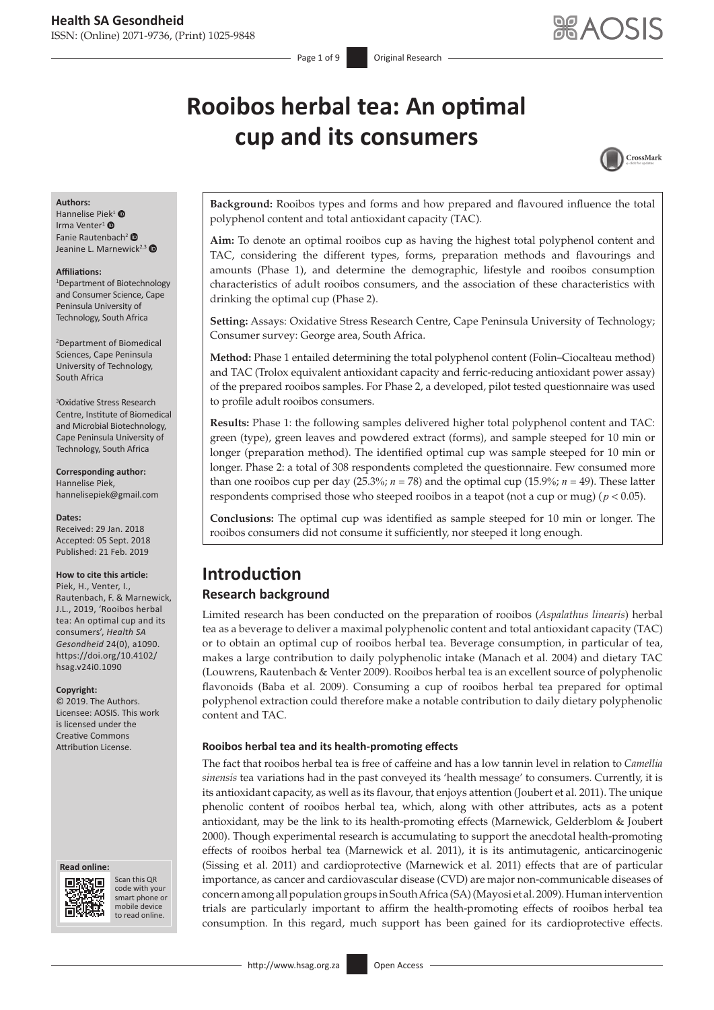# **Rooibos herbal tea: An optimal cup and its consumers**



#### **Authors:**

Hannelise Piek<sup>[1](https://orcid.org/0000-0001-8019-5861)</sup> $\bullet$ Irma Venter<sup>[1](https://orcid.org/0000-0001-6959-3930)</sup><sup>®</sup> Fanie Rautenbach[2](https://orcid.org/0000-0003-4227-2648) Jeanine L. Marnewick<sup>2,[3](https://orcid.org/0000-0002-1819-1699)</sup>

#### **Affiliations:**

1 Department of Biotechnology and Consumer Science, Cape Peninsula University of Technology, South Africa

2 Department of Biomedical Sciences, Cape Peninsula University of Technology, South Africa

3 Oxidative Stress Research Centre, Institute of Biomedical and Microbial Biotechnology, Cape Peninsula University of Technology, South Africa

**Corresponding author:** Hannelise Piek, [hannelisepiek@gmail.com](mailto:hannelisepiek@gmail.com)

#### **Dates:**

Received: 29 Jan. 2018 Accepted: 05 Sept. 2018 Published: 21 Feb. 2019

#### **How to cite this article:**

Piek, H., Venter, I., Rautenbach, F. & Marnewick, J.L., 2019, 'Rooibos herbal tea: An optimal cup and its consumers', *Health SA Gesondheid* 24(0), a1090. [https://doi.org/10.4102/](https://doi.org/10.4102/hsag.v24i0.1090) [hsag.v24i0.1090](https://doi.org/10.4102/hsag.v24i0.1090)

#### **Copyright:**

© 2019. The Authors. Licensee: AOSIS. This work is licensed under the Creative Commons Attribution License.

#### **Read online: Read online:**



Scan this QR code with your Scan this QR<br>code with your<br>smart phone or<br>mobile device mobile device to read online. to read online.

**Background:** Rooibos types and forms and how prepared and flavoured influence the total polyphenol content and total antioxidant capacity (TAC).

**Aim:** To denote an optimal rooibos cup as having the highest total polyphenol content and TAC, considering the different types, forms, preparation methods and flavourings and amounts (Phase 1), and determine the demographic, lifestyle and rooibos consumption characteristics of adult rooibos consumers, and the association of these characteristics with drinking the optimal cup (Phase 2).

**Setting:** Assays: Oxidative Stress Research Centre, Cape Peninsula University of Technology; Consumer survey: George area, South Africa.

**Method:** Phase 1 entailed determining the total polyphenol content (Folin–Ciocalteau method) and TAC (Trolox equivalent antioxidant capacity and ferric-reducing antioxidant power assay) of the prepared rooibos samples. For Phase 2, a developed, pilot tested questionnaire was used to profile adult rooibos consumers.

**Results:** Phase 1: the following samples delivered higher total polyphenol content and TAC: green (type), green leaves and powdered extract (forms), and sample steeped for 10 min or longer (preparation method). The identified optimal cup was sample steeped for 10 min or longer. Phase 2: a total of 308 respondents completed the questionnaire. Few consumed more than one rooibos cup per day  $(25.3\%; n = 78)$  and the optimal cup  $(15.9\%; n = 49)$ . These latter respondents comprised those who steeped rooibos in a teapot (not a cup or mug) (*p* < 0.05).

**Conclusions:** The optimal cup was identified as sample steeped for 10 min or longer. The rooibos consumers did not consume it sufficiently, nor steeped it long enough.

# **Introduction**

### **Research background**

Limited research has been conducted on the preparation of rooibos (*Aspalathus linearis*) herbal tea as a beverage to deliver a maximal polyphenolic content and total antioxidant capacity (TAC) or to obtain an optimal cup of rooibos herbal tea. Beverage consumption, in particular of tea, makes a large contribution to daily polyphenolic intake (Manach et al. 2004) and dietary TAC (Louwrens, Rautenbach & Venter 2009). Rooibos herbal tea is an excellent source of polyphenolic flavonoids (Baba et al. 2009). Consuming a cup of rooibos herbal tea prepared for optimal polyphenol extraction could therefore make a notable contribution to daily dietary polyphenolic content and TAC.

#### **Rooibos herbal tea and its health-promoting effects**

The fact that rooibos herbal tea is free of caffeine and has a low tannin level in relation to *Camellia sinensis* tea variations had in the past conveyed its 'health message' to consumers. Currently, it is its antioxidant capacity, as well as its flavour, that enjoys attention (Joubert et al. 2011). The unique phenolic content of rooibos herbal tea, which, along with other attributes, acts as a potent antioxidant, may be the link to its health-promoting effects (Marnewick, Gelderblom & Joubert 2000). Though experimental research is accumulating to support the anecdotal health-promoting effects of rooibos herbal tea (Marnewick et al. 2011), it is its antimutagenic, anticarcinogenic (Sissing et al. 2011) and cardioprotective (Marnewick et al. 2011) effects that are of particular importance, as cancer and cardiovascular disease (CVD) are major non-communicable diseases of concern among all population groups in South Africa (SA) (Mayosi et al. 2009). Human intervention trials are particularly important to affirm the health-promoting effects of rooibos herbal tea consumption. In this regard, much support has been gained for its cardioprotective effects.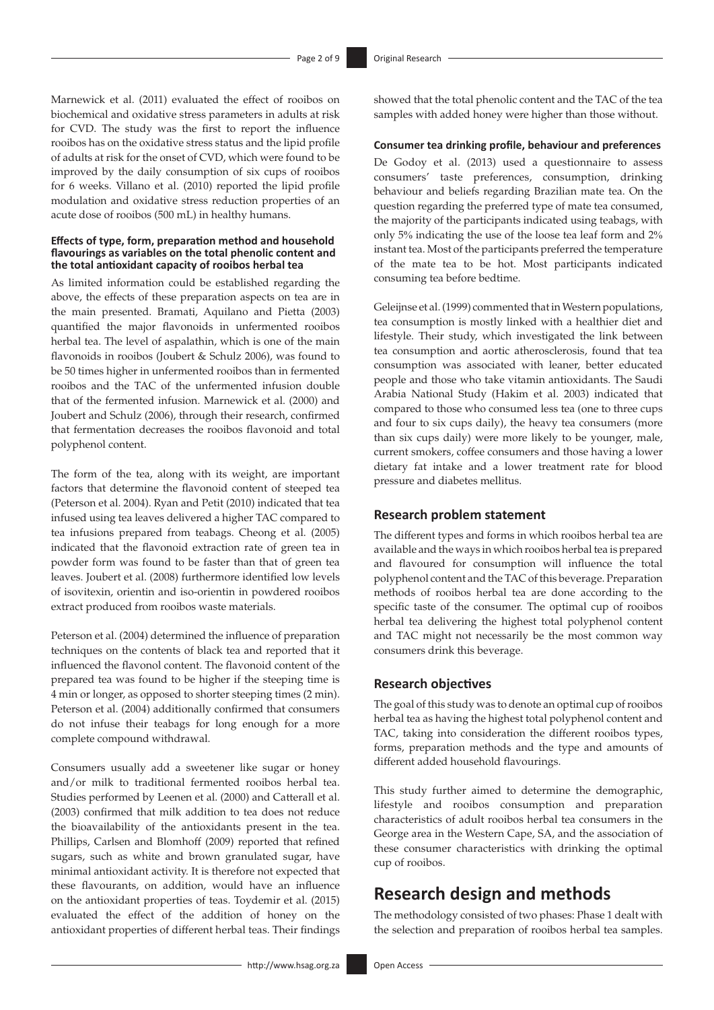Marnewick et al. (2011) evaluated the effect of rooibos on biochemical and oxidative stress parameters in adults at risk for CVD. The study was the first to report the influence rooibos has on the oxidative stress status and the lipid profile of adults at risk for the onset of CVD, which were found to be improved by the daily consumption of six cups of rooibos for 6 weeks. Villano et al. (2010) reported the lipid profile modulation and oxidative stress reduction properties of an acute dose of rooibos (500 mL) in healthy humans.

#### **Effects of type, form, preparation method and household flavourings as variables on the total phenolic content and the total antioxidant capacity of rooibos herbal tea**

As limited information could be established regarding the above, the effects of these preparation aspects on tea are in the main presented. Bramati, Aquilano and Pietta (2003) quantified the major flavonoids in unfermented rooibos herbal tea. The level of aspalathin, which is one of the main flavonoids in rooibos (Joubert & Schulz 2006), was found to be 50 times higher in unfermented rooibos than in fermented rooibos and the TAC of the unfermented infusion double that of the fermented infusion. Marnewick et al. (2000) and Joubert and Schulz (2006), through their research, confirmed that fermentation decreases the rooibos flavonoid and total polyphenol content.

The form of the tea, along with its weight, are important factors that determine the flavonoid content of steeped tea (Peterson et al. 2004). Ryan and Petit (2010) indicated that tea infused using tea leaves delivered a higher TAC compared to tea infusions prepared from teabags. Cheong et al. (2005) indicated that the flavonoid extraction rate of green tea in powder form was found to be faster than that of green tea leaves. Joubert et al. (2008) furthermore identified low levels of isovitexin, orientin and iso-orientin in powdered rooibos extract produced from rooibos waste materials.

Peterson et al. (2004) determined the influence of preparation techniques on the contents of black tea and reported that it influenced the flavonol content. The flavonoid content of the prepared tea was found to be higher if the steeping time is 4 min or longer, as opposed to shorter steeping times (2 min). Peterson et al. (2004) additionally confirmed that consumers do not infuse their teabags for long enough for a more complete compound withdrawal.

Consumers usually add a sweetener like sugar or honey and/or milk to traditional fermented rooibos herbal tea. Studies performed by Leenen et al. (2000) and Catterall et al. (2003) confirmed that milk addition to tea does not reduce the bioavailability of the antioxidants present in the tea. Phillips, Carlsen and Blomhoff (2009) reported that refined sugars, such as white and brown granulated sugar, have minimal antioxidant activity. It is therefore not expected that these flavourants, on addition, would have an influence on the antioxidant properties of teas. Toydemir et al. (2015) evaluated the effect of the addition of honey on the antioxidant properties of different herbal teas. Their findings

showed that the total phenolic content and the TAC of the tea samples with added honey were higher than those without.

#### **Consumer tea drinking profile, behaviour and preferences**

De Godoy et al. (2013) used a questionnaire to assess consumers' taste preferences, consumption, drinking behaviour and beliefs regarding Brazilian mate tea. On the question regarding the preferred type of mate tea consumed, the majority of the participants indicated using teabags, with only 5% indicating the use of the loose tea leaf form and 2% instant tea. Most of the participants preferred the temperature of the mate tea to be hot. Most participants indicated consuming tea before bedtime.

Geleijnse et al. (1999) commented that in Western populations, tea consumption is mostly linked with a healthier diet and lifestyle. Their study, which investigated the link between tea consumption and aortic atherosclerosis, found that tea consumption was associated with leaner, better educated people and those who take vitamin antioxidants. The Saudi Arabia National Study (Hakim et al. 2003) indicated that compared to those who consumed less tea (one to three cups and four to six cups daily), the heavy tea consumers (more than six cups daily) were more likely to be younger, male, current smokers, coffee consumers and those having a lower dietary fat intake and a lower treatment rate for blood pressure and diabetes mellitus.

#### **Research problem statement**

The different types and forms in which rooibos herbal tea are available and the ways in which rooibos herbal tea is prepared and flavoured for consumption will influence the total polyphenol content and the TAC of this beverage. Preparation methods of rooibos herbal tea are done according to the specific taste of the consumer. The optimal cup of rooibos herbal tea delivering the highest total polyphenol content and TAC might not necessarily be the most common way consumers drink this beverage.

### **Research objectives**

The goal of this study was to denote an optimal cup of rooibos herbal tea as having the highest total polyphenol content and TAC, taking into consideration the different rooibos types, forms, preparation methods and the type and amounts of different added household flavourings.

This study further aimed to determine the demographic, lifestyle and rooibos consumption and preparation characteristics of adult rooibos herbal tea consumers in the George area in the Western Cape, SA, and the association of these consumer characteristics with drinking the optimal cup of rooibos.

# **Research design and methods**

The methodology consisted of two phases: Phase 1 dealt with the selection and preparation of rooibos herbal tea samples.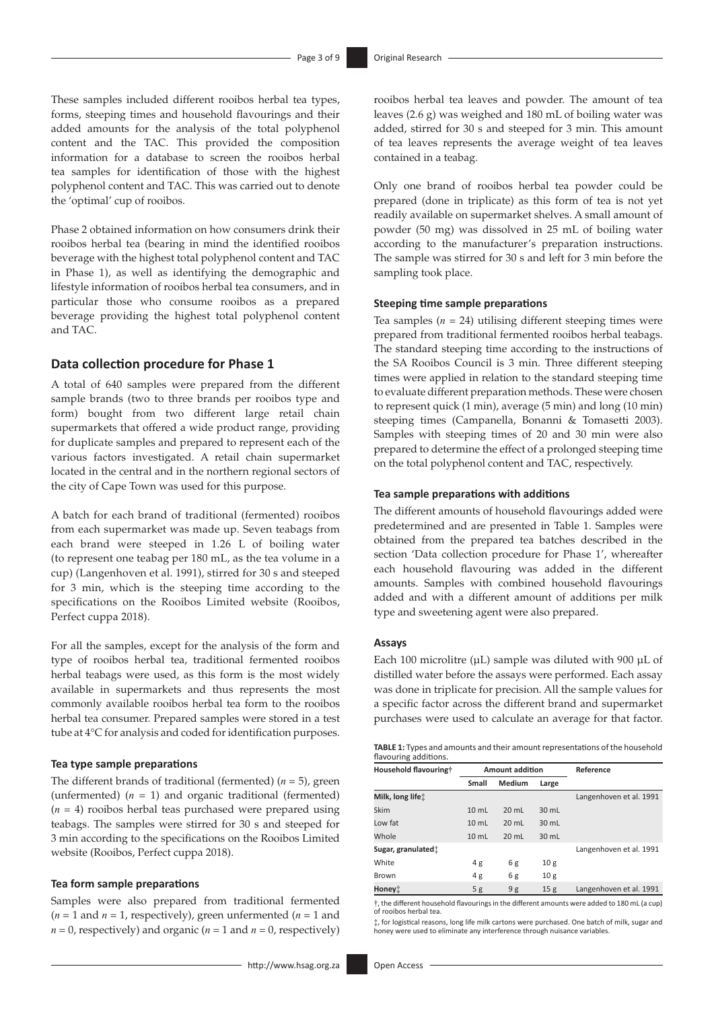These samples included different rooibos herbal tea types, forms, steeping times and household flavourings and their added amounts for the analysis of the total polyphenol content and the TAC. This provided the composition information for a database to screen the rooibos herbal tea samples for identification of those with the highest polyphenol content and TAC. This was carried out to denote the 'optimal' cup of rooibos.

Phase 2 obtained information on how consumers drink their rooibos herbal tea (bearing in mind the identified rooibos beverage with the highest total polyphenol content and TAC in Phase 1), as well as identifying the demographic and lifestyle information of rooibos herbal tea consumers, and in particular those who consume rooibos as a prepared beverage providing the highest total polyphenol content and TAC.

### **Data collection procedure for Phase 1**

A total of 640 samples were prepared from the different sample brands (two to three brands per rooibos type and form) bought from two different large retail chain supermarkets that offered a wide product range, providing for duplicate samples and prepared to represent each of the various factors investigated. A retail chain supermarket located in the central and in the northern regional sectors of the city of Cape Town was used for this purpose.

A batch for each brand of traditional (fermented) rooibos from each supermarket was made up. Seven teabags from each brand were steeped in 1.26 L of boiling water (to represent one teabag per 180 mL, as the tea volume in a cup) (Langenhoven et al. 1991), stirred for 30 s and steeped for 3 min, which is the steeping time according to the specifications on the Rooibos Limited website (Rooibos, Perfect cuppa 2018).

For all the samples, except for the analysis of the form and type of rooibos herbal tea, traditional fermented rooibos herbal teabags were used, as this form is the most widely available in supermarkets and thus represents the most commonly available rooibos herbal tea form to the rooibos herbal tea consumer. Prepared samples were stored in a test tube at 4°C for analysis and coded for identification purposes.

#### **Tea type sample preparations**

The different brands of traditional (fermented)  $(n = 5)$ , green (unfermented)  $(n = 1)$  and organic traditional (fermented) (*n* = 4) rooibos herbal teas purchased were prepared using teabags. The samples were stirred for 30 s and steeped for 3 min according to the specifications on the Rooibos Limited website (Rooibos, Perfect cuppa 2018).

#### **Tea form sample preparations**

Samples were also prepared from traditional fermented  $(n = 1$  and  $n = 1$ , respectively), green unfermented  $(n = 1$  and  $n = 0$ , respectively) and organic ( $n = 1$  and  $n = 0$ , respectively)

rooibos herbal tea leaves and powder. The amount of tea leaves (2.6 g) was weighed and 180 mL of boiling water was added, stirred for 30 s and steeped for 3 min. This amount of tea leaves represents the average weight of tea leaves contained in a teabag.

Only one brand of rooibos herbal tea powder could be prepared (done in triplicate) as this form of tea is not yet readily available on supermarket shelves. A small amount of powder (50 mg) was dissolved in 25 mL of boiling water according to the manufacturer's preparation instructions. The sample was stirred for 30 s and left for 3 min before the sampling took place.

#### **Steeping time sample preparations**

Tea samples  $(n = 24)$  utilising different steeping times were prepared from traditional fermented rooibos herbal teabags. The standard steeping time according to the instructions of the SA Rooibos Council is 3 min. Three different steeping times were applied in relation to the standard steeping time to evaluate different preparation methods. These were chosen to represent quick (1 min), average (5 min) and long (10 min) steeping times (Campanella, Bonanni & Tomasetti 2003). Samples with steeping times of 20 and 30 min were also prepared to determine the effect of a prolonged steeping time on the total polyphenol content and TAC, respectively.

#### **Tea sample preparations with additions**

The different amounts of household flavourings added were predetermined and are presented in Table 1. Samples were obtained from the prepared tea batches described in the section 'Data collection procedure for Phase 1', whereafter each household flavouring was added in the different amounts. Samples with combined household flavourings added and with a different amount of additions per milk type and sweetening agent were also prepared.

#### **Assays**

Each 100 microlitre ( $\mu$ L) sample was diluted with 900  $\mu$ L of distilled water before the assays were performed. Each assay was done in triplicate for precision. All the sample values for a specific factor across the different brand and supermarket purchases were used to calculate an average for that factor.

| <b>TABLE 1:</b> Types and amounts and their amount representations of the household |  |
|-------------------------------------------------------------------------------------|--|
| flavouring additions.                                                               |  |

| Household flavouring†          | <b>Amount addition</b> |                 |                 | Reference               |  |  |
|--------------------------------|------------------------|-----------------|-----------------|-------------------------|--|--|
|                                | Small                  | Medium          | Large           |                         |  |  |
| Milk, long life:               |                        |                 |                 | Langenhoven et al. 1991 |  |  |
| Skim                           | $10 \text{ mL}$        | $20 \text{ mL}$ | $30 \text{ mL}$ |                         |  |  |
| Low fat                        | $10 \text{ mL}$        | $20 \text{ mL}$ | $30 \text{ mL}$ |                         |  |  |
| Whole                          | 10 <sub>mL</sub>       | $20 \text{ mL}$ | 30 mL           |                         |  |  |
| Sugar, granulated <sup>+</sup> |                        |                 |                 | Langenhoven et al. 1991 |  |  |
| White                          | 4g                     | 6g              | 10 <sub>g</sub> |                         |  |  |
| Brown                          | 4g                     | 6g              | 10 <sub>g</sub> |                         |  |  |
| Honey‡                         | 5g                     | 9g              | 15 <sub>g</sub> | Langenhoven et al. 1991 |  |  |

†, the different household flavourings in the different amounts were added to 180 mL (a cup) of rooibos herbal tea.

‡, for logistical reasons, long life milk cartons were purchased. One batch of milk, sugar and honey were used to eliminate any interference through nuisance variables.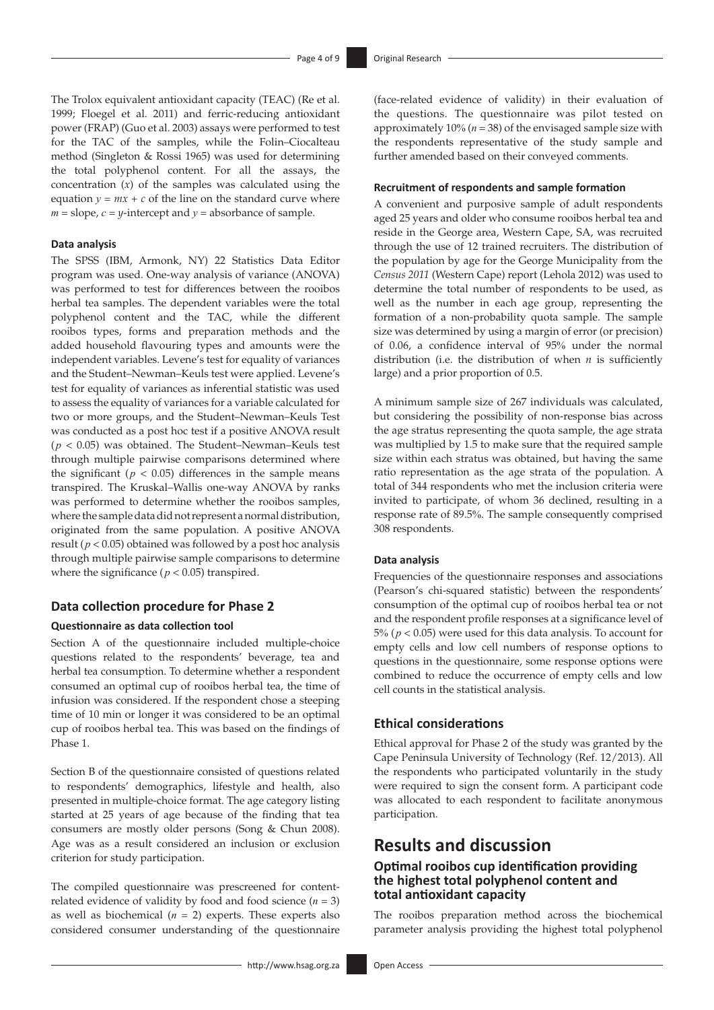The Trolox equivalent antioxidant capacity (TEAC) (Re et al. 1999; Floegel et al. 2011) and ferric-reducing antioxidant power (FRAP) (Guo et al. 2003) assays were performed to test for the TAC of the samples, while the Folin–Ciocalteau method (Singleton & Rossi 1965) was used for determining the total polyphenol content. For all the assays, the concentration (*x*) of the samples was calculated using the equation  $y = mx + c$  of the line on the standard curve where  $m =$  slope,  $c = y$ -intercept and  $y =$  absorbance of sample.

#### **Data analysis**

The SPSS (IBM, Armonk, NY) 22 Statistics Data Editor program was used. One-way analysis of variance (ANOVA) was performed to test for differences between the rooibos herbal tea samples. The dependent variables were the total polyphenol content and the TAC, while the different rooibos types, forms and preparation methods and the added household flavouring types and amounts were the independent variables. Levene's test for equality of variances and the Student–Newman–Keuls test were applied. Levene's test for equality of variances as inferential statistic was used to assess the equality of variances for a variable calculated for two or more groups, and the Student–Newman–Keuls Test was conducted as a post hoc test if a positive ANOVA result (*p* < 0.05) was obtained. The Student–Newman–Keuls test through multiple pairwise comparisons determined where the significant ( $p < 0.05$ ) differences in the sample means transpired. The Kruskal–Wallis one-way ANOVA by ranks was performed to determine whether the rooibos samples, where the sample data did not represent a normal distribution, originated from the same population. A positive ANOVA result ( $p < 0.05$ ) obtained was followed by a post hoc analysis through multiple pairwise sample comparisons to determine where the significance ( $p < 0.05$ ) transpired.

### **Data collection procedure for Phase 2**

#### **Questionnaire as data collection tool**

Section A of the questionnaire included multiple-choice questions related to the respondents' beverage, tea and herbal tea consumption. To determine whether a respondent consumed an optimal cup of rooibos herbal tea, the time of infusion was considered. If the respondent chose a steeping time of 10 min or longer it was considered to be an optimal cup of rooibos herbal tea. This was based on the findings of Phase 1.

Section B of the questionnaire consisted of questions related to respondents' demographics, lifestyle and health, also presented in multiple-choice format. The age category listing started at 25 years of age because of the finding that tea consumers are mostly older persons (Song & Chun 2008). Age was as a result considered an inclusion or exclusion criterion for study participation.

The compiled questionnaire was prescreened for contentrelated evidence of validity by food and food science  $(n = 3)$ as well as biochemical  $(n = 2)$  experts. These experts also considered consumer understanding of the questionnaire

(face-related evidence of validity) in their evaluation of the questions. The questionnaire was pilot tested on approximately 10% (*n* = 38) of the envisaged sample size with the respondents representative of the study sample and further amended based on their conveyed comments.

#### **Recruitment of respondents and sample formation**

A convenient and purposive sample of adult respondents aged 25 years and older who consume rooibos herbal tea and reside in the George area, Western Cape, SA, was recruited through the use of 12 trained recruiters. The distribution of the population by age for the George Municipality from the *Census 2011* (Western Cape) report (Lehola 2012) was used to determine the total number of respondents to be used, as well as the number in each age group, representing the formation of a non-probability quota sample. The sample size was determined by using a margin of error (or precision) of 0.06, a confidence interval of 95% under the normal distribution (i.e. the distribution of when *n* is sufficiently large) and a prior proportion of 0.5.

A minimum sample size of 267 individuals was calculated, but considering the possibility of non-response bias across the age stratus representing the quota sample, the age strata was multiplied by 1.5 to make sure that the required sample size within each stratus was obtained, but having the same ratio representation as the age strata of the population. A total of 344 respondents who met the inclusion criteria were invited to participate, of whom 36 declined, resulting in a response rate of 89.5%. The sample consequently comprised 308 respondents.

#### **Data analysis**

Frequencies of the questionnaire responses and associations (Pearson's chi-squared statistic) between the respondents' consumption of the optimal cup of rooibos herbal tea or not and the respondent profile responses at a significance level of 5% (*p* < 0.05) were used for this data analysis. To account for empty cells and low cell numbers of response options to questions in the questionnaire, some response options were combined to reduce the occurrence of empty cells and low cell counts in the statistical analysis.

### **Ethical considerations**

Ethical approval for Phase 2 of the study was granted by the Cape Peninsula University of Technology (Ref. 12/2013). All the respondents who participated voluntarily in the study were required to sign the consent form. A participant code was allocated to each respondent to facilitate anonymous participation.

# **Results and discussion**

### **Optimal rooibos cup identification providing the highest total polyphenol content and total antioxidant capacity**

The rooibos preparation method across the biochemical parameter analysis providing the highest total polyphenol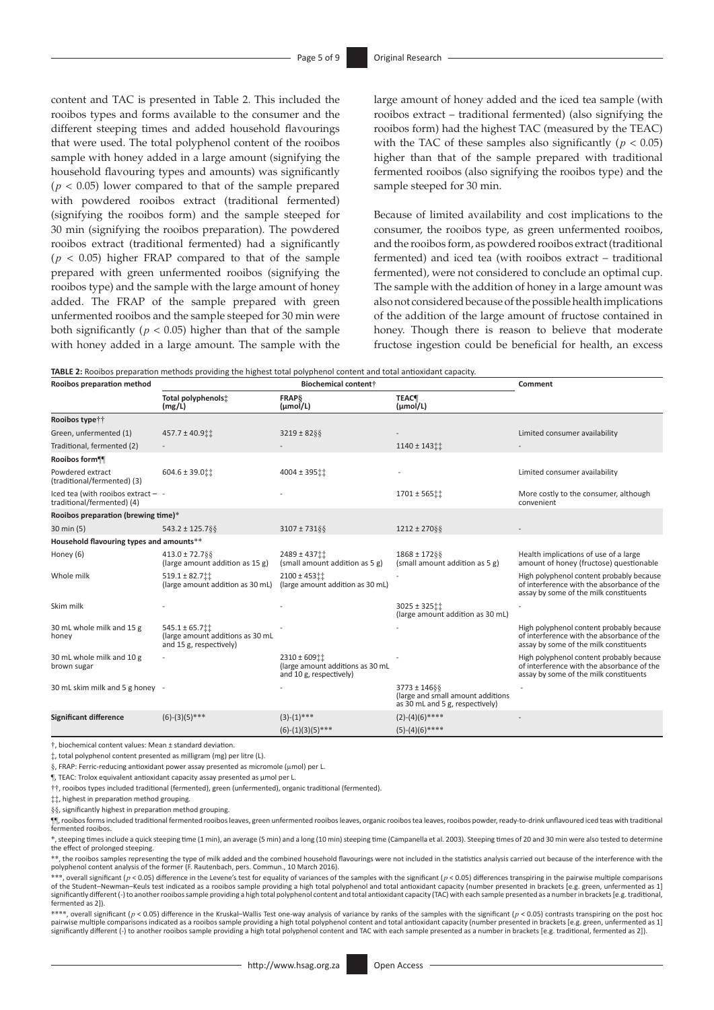content and TAC is presented in Table 2. This included the rooibos types and forms available to the consumer and the different steeping times and added household flavourings that were used. The total polyphenol content of the rooibos sample with honey added in a large amount (signifying the household flavouring types and amounts) was significantly (*p <* 0.05) lower compared to that of the sample prepared with powdered rooibos extract (traditional fermented) (signifying the rooibos form) and the sample steeped for 30 min (signifying the rooibos preparation). The powdered rooibos extract (traditional fermented) had a significantly  $(p < 0.05)$  higher FRAP compared to that of the sample prepared with green unfermented rooibos (signifying the rooibos type) and the sample with the large amount of honey added. The FRAP of the sample prepared with green unfermented rooibos and the sample steeped for 30 min were both significantly ( $p < 0.05$ ) higher than that of the sample with honey added in a large amount. The sample with the large amount of honey added and the iced tea sample (with rooibos extract – traditional fermented) (also signifying the rooibos form) had the highest TAC (measured by the TEAC) with the TAC of these samples also significantly ( $p < 0.05$ ) higher than that of the sample prepared with traditional fermented rooibos (also signifying the rooibos type) and the sample steeped for 30 min.

Because of limited availability and cost implications to the consumer, the rooibos type, as green unfermented rooibos, and the rooibos form, as powdered rooibos extract (traditional fermented) and iced tea (with rooibos extract – traditional fermented), were not considered to conclude an optimal cup. The sample with the addition of honey in a large amount was also not considered because of the possible health implications of the addition of the large amount of fructose contained in honey. Though there is reason to believe that moderate fructose ingestion could be beneficial for health, an excess

|  |  | TABLE 2: Rooibos preparation methods providing the highest total polyphenol content and total antioxidant capacity. |
|--|--|---------------------------------------------------------------------------------------------------------------------|
|--|--|---------------------------------------------------------------------------------------------------------------------|

| Rooibos preparation method                                       |                                                                                 | <b>Biochemical content</b> †                                                     |                                                                                          | Comment                                                                                                                          |  |
|------------------------------------------------------------------|---------------------------------------------------------------------------------|----------------------------------------------------------------------------------|------------------------------------------------------------------------------------------|----------------------------------------------------------------------------------------------------------------------------------|--|
|                                                                  | Total polyphenols:<br>(mg/L)                                                    | <b>FRAPS</b><br>$(\mu mol/L)$                                                    | <b>TEAC</b><br>$(\mu mol/L)$                                                             |                                                                                                                                  |  |
| Rooibos typett                                                   |                                                                                 |                                                                                  |                                                                                          |                                                                                                                                  |  |
| Green, unfermented (1)                                           | 457.7 ± 40.9 ::                                                                 | $3219 \pm 82$ §§                                                                 |                                                                                          | Limited consumer availability                                                                                                    |  |
| Traditional, fermented (2)                                       |                                                                                 |                                                                                  | 1140 ± 143 tt                                                                            |                                                                                                                                  |  |
| Rooibos form¶                                                    |                                                                                 |                                                                                  |                                                                                          |                                                                                                                                  |  |
| Powdered extract<br>(traditional/fermented) (3)                  | $604.6 \pm 39.011$                                                              | 4004 ± 395 tt                                                                    |                                                                                          | Limited consumer availability                                                                                                    |  |
| Iced tea (with rooibos extract - -<br>traditional/fermented) (4) |                                                                                 |                                                                                  | $1701 \pm 565$ ii                                                                        | More costly to the consumer, although<br>convenient                                                                              |  |
| Rooibos preparation (brewing time)*                              |                                                                                 |                                                                                  |                                                                                          |                                                                                                                                  |  |
| 30 min (5)                                                       | 543.2 ± 125.7§§                                                                 | $3107 \pm 731$ § §                                                               | $1212 \pm 270$ § §                                                                       |                                                                                                                                  |  |
| Household flavouring types and amounts**                         |                                                                                 |                                                                                  |                                                                                          |                                                                                                                                  |  |
| Honey (6)                                                        | $413.0 \pm 72.7$ \$\$<br>(large amount addition as 15 g)                        | 2489 ± 437 ::<br>(small amount addition as 5 g)                                  | $1868 \pm 17288$<br>(small amount addition as 5 g)                                       | Health implications of use of a large<br>amount of honey (fructose) questionable                                                 |  |
| Whole milk                                                       | $519.1 \pm 82.7$<br>(large amount addition as 30 mL)                            | 2100 ± 453 tt<br>(large amount addition as 30 mL)                                |                                                                                          | High polyphenol content probably because<br>of interference with the absorbance of the<br>assay by some of the milk constituents |  |
| Skim milk                                                        |                                                                                 |                                                                                  | $3025 \pm 32511$<br>(large amount addition as 30 mL)                                     |                                                                                                                                  |  |
| 30 mL whole milk and 15 g<br>honey                               | $545.1 \pm 65.7$<br>(large amount additions as 30 mL<br>and 15 g, respectively) |                                                                                  |                                                                                          | High polyphenol content probably because<br>of interference with the absorbance of the<br>assay by some of the milk constituents |  |
| 30 mL whole milk and 10 g<br>brown sugar                         |                                                                                 | $2310 \pm 609$ ii<br>(large amount additions as 30 mL<br>and 10 g, respectively) |                                                                                          | High polyphenol content probably because<br>of interference with the absorbance of the<br>assay by some of the milk constituents |  |
| 30 mL skim milk and 5 g honey -                                  |                                                                                 |                                                                                  | $3773 \pm 14688$<br>(large and small amount additions<br>as 30 mL and 5 g, respectively) |                                                                                                                                  |  |
| <b>Significant difference</b>                                    | $(6)-(3)(5)$ ***                                                                | $(3)-(1)$ ***                                                                    | $(2)-(4)(6)$ ****                                                                        |                                                                                                                                  |  |
|                                                                  |                                                                                 | $(6)-(1)(3)(5)$ ***                                                              | $(5)-(4)(6)$ ****                                                                        |                                                                                                                                  |  |

†, biochemical content values: Mean ± standard deviation.

‡, total polyphenol content presented as milligram (mg) per litre (L).

§, FRAP: Ferric-reducing antioxidant power assay presented as micromole (µmol) per L.

¶, TEAC: Trolox equivalent antioxidant capacity assay presented as µmol per L.

††, rooibos types included traditional (fermented), green (unfermented), organic traditional (fermented).

‡‡, highest in preparation method grouping.

§§, significantly highest in preparation method grouping.

¶¶, rooibos forms included traditional fermented rooibos leaves, green unfermented rooibos leaves, organic rooibos tea leaves, rooibos powder, ready-to-drink unflavoured iced teas with traditional fermented rooibos.

\*, steeping times include a quick steeping time (1 min), an average (5 min) and a long (10 min) steeping time (Campanella et al. 2003). Steeping times of 20 and 30 min were also tested to determine the effect of prolonged steeping.

\*\*, the rooibos samples representing the type of milk added and the combined household flavourings were not included in the statistics analysis carried out because of the interference with the polyphenol content analysis of the former (F. Rautenbach, pers. Commun., 10 March 2016).

\*\*\*, overall significant (*p* < 0.05) difference in the Levene's test for equality of variances of the samples with the significant (*p* < 0.05) differences transpiring in the pairwise multiple comparisons of the Student–Newman–Keuls test indicated as a rooibos sample providing a high total polyphenol and total antioxidant capacity (number presented in brackets [e.g. green, unfermented as 1]<br>significantly different (-) to an

\*\*\*\*, overall significant (*p* < 0.05) difference in the Kruskal–Wallis Test one-way analysis of variance by ranks of the samples with the significant (*p* < 0.05) contrasts transpiring on the post hoc pairwise multiple comparisons indicated as a rooibos sample providing a high total polyphenol content and total antioxidant capacity (number presented in brackets [e.g. green, unfermented as 1] significantly different (-) to another rooibos sample providing a high total polyphenol content and TAC with each sample presented as a number in brackets [e.g. traditional, fermented as 2]).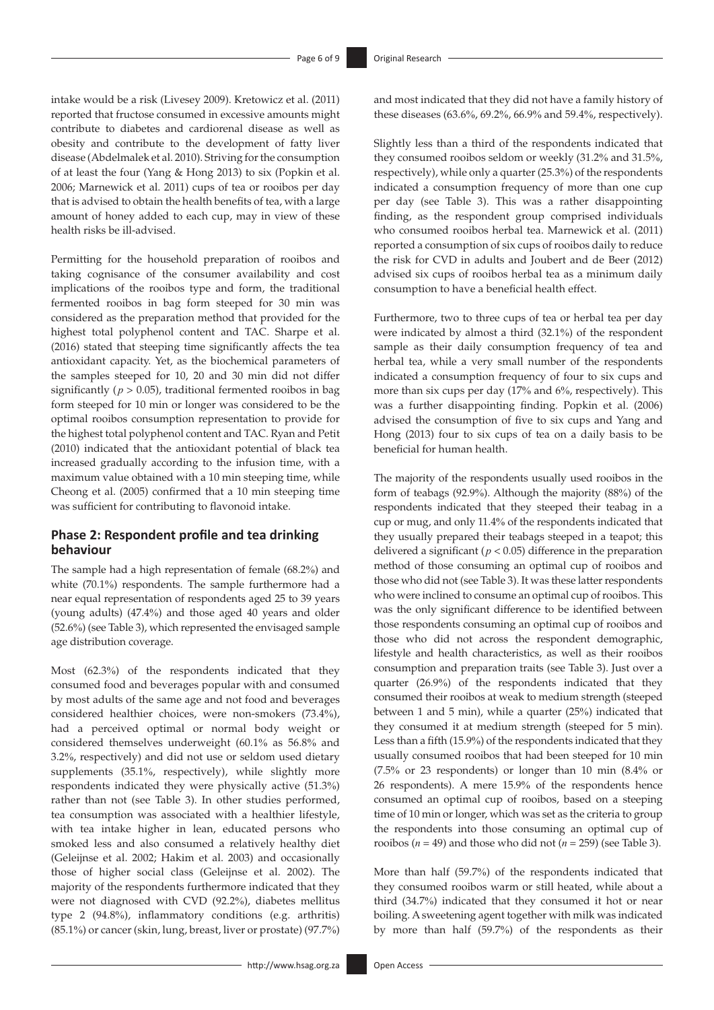intake would be a risk (Livesey 2009). Kretowicz et al. (2011) reported that fructose consumed in excessive amounts might contribute to diabetes and cardiorenal disease as well as obesity and contribute to the development of fatty liver disease (Abdelmalek et al. 2010). Striving for the consumption of at least the four (Yang & Hong 2013) to six (Popkin et al. 2006; Marnewick et al. 2011) cups of tea or rooibos per day that is advised to obtain the health benefits of tea, with a large amount of honey added to each cup, may in view of these health risks be ill-advised.

Permitting for the household preparation of rooibos and taking cognisance of the consumer availability and cost implications of the rooibos type and form, the traditional fermented rooibos in bag form steeped for 30 min was considered as the preparation method that provided for the highest total polyphenol content and TAC. Sharpe et al. (2016) stated that steeping time significantly affects the tea antioxidant capacity. Yet, as the biochemical parameters of the samples steeped for 10, 20 and 30 min did not differ significantly ( $p > 0.05$ ), traditional fermented rooibos in bag form steeped for 10 min or longer was considered to be the optimal rooibos consumption representation to provide for the highest total polyphenol content and TAC. Ryan and Petit (2010) indicated that the antioxidant potential of black tea increased gradually according to the infusion time, with a maximum value obtained with a 10 min steeping time, while Cheong et al. (2005) confirmed that a 10 min steeping time was sufficient for contributing to flavonoid intake.

### **Phase 2: Respondent profile and tea drinking behaviour**

The sample had a high representation of female (68.2%) and white (70.1%) respondents. The sample furthermore had a near equal representation of respondents aged 25 to 39 years (young adults) (47.4%) and those aged 40 years and older (52.6%) (see Table 3), which represented the envisaged sample age distribution coverage.

Most (62.3%) of the respondents indicated that they consumed food and beverages popular with and consumed by most adults of the same age and not food and beverages considered healthier choices, were non-smokers (73.4%), had a perceived optimal or normal body weight or considered themselves underweight (60.1% as 56.8% and 3.2%, respectively) and did not use or seldom used dietary supplements (35.1%, respectively), while slightly more respondents indicated they were physically active (51.3%) rather than not (see Table 3). In other studies performed, tea consumption was associated with a healthier lifestyle, with tea intake higher in lean, educated persons who smoked less and also consumed a relatively healthy diet (Geleijnse et al. 2002; Hakim et al. 2003) and occasionally those of higher social class (Geleijnse et al. 2002). The majority of the respondents furthermore indicated that they were not diagnosed with CVD (92.2%), diabetes mellitus type 2 (94.8%), inflammatory conditions (e.g. arthritis) (85.1%) or cancer (skin, lung, breast, liver or prostate) (97.7%)

and most indicated that they did not have a family history of these diseases (63.6%, 69.2%, 66.9% and 59.4%, respectively).

Slightly less than a third of the respondents indicated that they consumed rooibos seldom or weekly (31.2% and 31.5%, respectively), while only a quarter (25.3%) of the respondents indicated a consumption frequency of more than one cup per day (see Table 3). This was a rather disappointing finding, as the respondent group comprised individuals who consumed rooibos herbal tea. Marnewick et al. (2011) reported a consumption of six cups of rooibos daily to reduce the risk for CVD in adults and Joubert and de Beer (2012) advised six cups of rooibos herbal tea as a minimum daily consumption to have a beneficial health effect.

Furthermore, two to three cups of tea or herbal tea per day were indicated by almost a third (32.1%) of the respondent sample as their daily consumption frequency of tea and herbal tea, while a very small number of the respondents indicated a consumption frequency of four to six cups and more than six cups per day (17% and 6%, respectively). This was a further disappointing finding. Popkin et al. (2006) advised the consumption of five to six cups and Yang and Hong (2013) four to six cups of tea on a daily basis to be beneficial for human health.

The majority of the respondents usually used rooibos in the form of teabags (92.9%). Although the majority (88%) of the respondents indicated that they steeped their teabag in a cup or mug, and only 11.4% of the respondents indicated that they usually prepared their teabags steeped in a teapot; this delivered a significant ( $p < 0.05$ ) difference in the preparation method of those consuming an optimal cup of rooibos and those who did not (see Table 3). It was these latter respondents who were inclined to consume an optimal cup of rooibos. This was the only significant difference to be identified between those respondents consuming an optimal cup of rooibos and those who did not across the respondent demographic, lifestyle and health characteristics, as well as their rooibos consumption and preparation traits (see Table 3). Just over a quarter (26.9%) of the respondents indicated that they consumed their rooibos at weak to medium strength (steeped between 1 and 5 min), while a quarter (25%) indicated that they consumed it at medium strength (steeped for 5 min). Less than a fifth (15.9%) of the respondents indicated that they usually consumed rooibos that had been steeped for 10 min (7.5% or 23 respondents) or longer than 10 min (8.4% or 26 respondents). A mere 15.9% of the respondents hence consumed an optimal cup of rooibos, based on a steeping time of 10 min or longer, which was set as the criteria to group the respondents into those consuming an optimal cup of rooibos  $(n = 49)$  and those who did not  $(n = 259)$  (see Table 3).

More than half (59.7%) of the respondents indicated that they consumed rooibos warm or still heated, while about a third (34.7%) indicated that they consumed it hot or near boiling. Asweetening agent together with milk was indicated by more than half (59.7%) of the respondents as their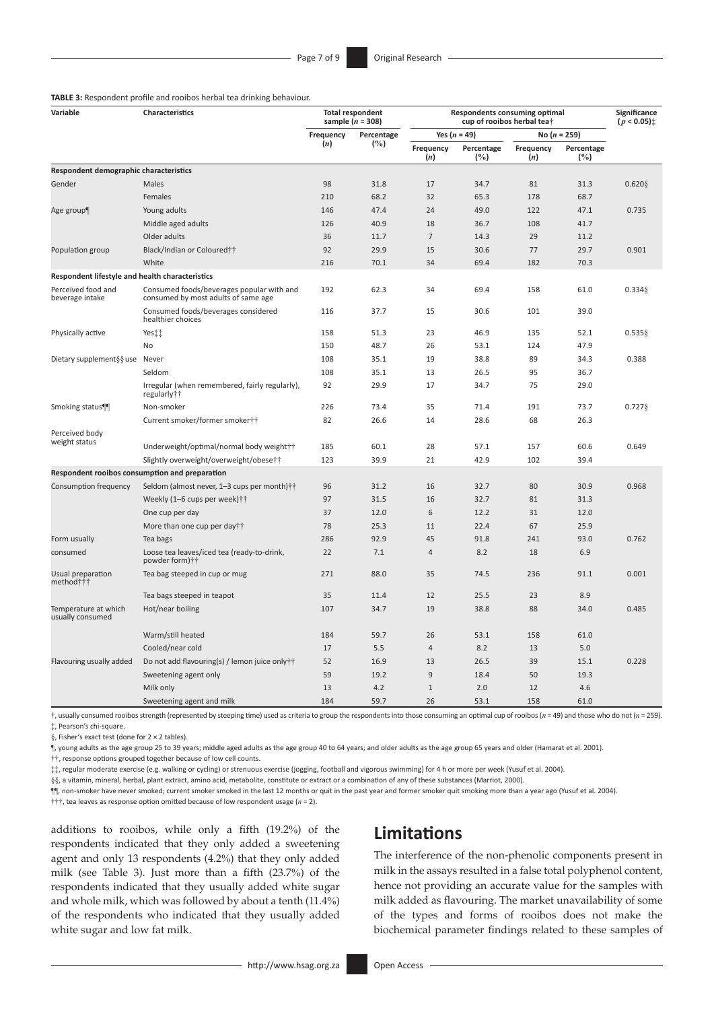#### **TABLE 3:** Respondent profile and rooibos herbal tea drinking behaviour.

| Variable<br>Characteristics                     |                                                                                  | <b>Total respondent</b><br>sample $(n = 308)$ |      | <b>Respondents consuming optimal</b><br>cup of rooibos herbal tea† |                   |                  |                      | Significance<br>$(p < 0.05)$ <sup>*</sup> |
|-------------------------------------------------|----------------------------------------------------------------------------------|-----------------------------------------------|------|--------------------------------------------------------------------|-------------------|------------------|----------------------|-------------------------------------------|
|                                                 |                                                                                  | Frequency<br>Percentage                       |      | Yes $(n = 49)$                                                     |                   | No $(n = 259)$   |                      |                                           |
|                                                 |                                                                                  | (n)                                           | (%)  | Frequency<br>(n)                                                   | Percentage<br>(%) | Frequency<br>(n) | Percentage<br>$(\%)$ |                                           |
| Respondent demographic characteristics          |                                                                                  |                                               |      |                                                                    |                   |                  |                      |                                           |
| Gender                                          | Males                                                                            | 98                                            | 31.8 | 17                                                                 | 34.7              | 81               | 31.3                 | 0.620                                     |
|                                                 | Females                                                                          | 210                                           | 68.2 | 32                                                                 | 65.3              | 178              | 68.7                 |                                           |
| Age group¶                                      | Young adults                                                                     | 146                                           | 47.4 | 24                                                                 | 49.0              | 122              | 47.1                 | 0.735                                     |
|                                                 | Middle aged adults                                                               | 126                                           | 40.9 | 18                                                                 | 36.7              | 108              | 41.7                 |                                           |
|                                                 | Older adults                                                                     | 36                                            | 11.7 | $\overline{7}$                                                     | 14.3              | 29               | 11.2                 |                                           |
| Population group                                | Black/Indian or Coloured††                                                       | 92                                            | 29.9 | 15                                                                 | 30.6              | 77               | 29.7                 | 0.901                                     |
|                                                 | White                                                                            | 216                                           | 70.1 | 34                                                                 | 69.4              | 182              | 70.3                 |                                           |
| Respondent lifestyle and health characteristics |                                                                                  |                                               |      |                                                                    |                   |                  |                      |                                           |
| Perceived food and<br>beverage intake           | Consumed foods/beverages popular with and<br>consumed by most adults of same age | 192                                           | 62.3 | 34                                                                 | 69.4              | 158              | 61.0                 | $0.334$ §                                 |
|                                                 | Consumed foods/beverages considered<br>healthier choices                         | 116                                           | 37.7 | 15                                                                 | 30.6              | 101              | 39.0                 |                                           |
| Physically active                               | Yesit                                                                            | 158                                           | 51.3 | 23                                                                 | 46.9              | 135              | 52.1                 | $0.535$ §                                 |
|                                                 | <b>No</b>                                                                        | 150                                           | 48.7 | 26                                                                 | 53.1              | 124              | 47.9                 |                                           |
| Dietary supplement $\S$ suse                    | Never                                                                            | 108                                           | 35.1 | 19                                                                 | 38.8              | 89               | 34.3                 | 0.388                                     |
|                                                 | Seldom                                                                           | 108                                           | 35.1 | 13                                                                 | 26.5              | 95               | 36.7                 |                                           |
|                                                 | Irregular (when remembered, fairly regularly),<br>regularly††                    | 92                                            | 29.9 | 17                                                                 | 34.7              | 75               | 29.0                 |                                           |
| Smoking status <sup>qq</sup>                    | Non-smoker                                                                       | 226                                           | 73.4 | 35                                                                 | 71.4              | 191              | 73.7                 | $0.727$ §                                 |
|                                                 | Current smoker/former smoker††                                                   | 82                                            | 26.6 | 14                                                                 | 28.6              | 68               | 26.3                 |                                           |
| Perceived body                                  |                                                                                  |                                               |      |                                                                    |                   |                  |                      |                                           |
| weight status                                   | Underweight/optimal/normal body weight††                                         | 185                                           | 60.1 | 28                                                                 | 57.1              | 157              | 60.6                 | 0.649                                     |
|                                                 | Slightly overweight/overweight/obesett                                           | 123                                           | 39.9 | 21                                                                 | 42.9              | 102              | 39.4                 |                                           |
| Respondent rooibos consumption and preparation  |                                                                                  |                                               |      |                                                                    |                   |                  |                      |                                           |
| Consumption frequency                           | Seldom (almost never, 1-3 cups per month)††                                      | 96                                            | 31.2 | 16                                                                 | 32.7              | 80               | 30.9                 | 0.968                                     |
|                                                 | Weekly (1-6 cups per week)††                                                     | 97                                            | 31.5 | 16                                                                 | 32.7              | 81               | 31.3                 |                                           |
|                                                 | One cup per day                                                                  | 37                                            | 12.0 | 6                                                                  | 12.2              | 31               | 12.0                 |                                           |
|                                                 | More than one cup per day††                                                      | 78                                            | 25.3 | 11                                                                 | 22.4              | 67               | 25.9                 |                                           |
| Form usually                                    | Tea bags                                                                         | 286                                           | 92.9 | 45                                                                 | 91.8              | 241              | 93.0                 | 0.762                                     |
| consumed                                        | Loose tea leaves/iced tea (ready-to-drink,<br>powder form)††                     | 22                                            | 7.1  | 4                                                                  | 8.2               | 18               | 6.9                  |                                           |
| Usual preparation<br>method†††                  | Tea bag steeped in cup or mug                                                    | 271                                           | 88.0 | 35                                                                 | 74.5              | 236              | 91.1                 | 0.001                                     |
|                                                 | Tea bags steeped in teapot                                                       | 35                                            | 11.4 | 12                                                                 | 25.5              | 23               | 8.9                  |                                           |
| Temperature at which<br>usually consumed        | Hot/near boiling                                                                 | 107                                           | 34.7 | 19                                                                 | 38.8              | 88               | 34.0                 | 0.485                                     |
|                                                 | Warm/still heated                                                                | 184                                           | 59.7 | 26                                                                 | 53.1              | 158              | 61.0                 |                                           |
|                                                 | Cooled/near cold                                                                 | 17                                            | 5.5  | $\overline{4}$                                                     | 8.2               | 13               | 5.0                  |                                           |
| Flavouring usually added                        | Do not add flavouring(s) / lemon juice only††                                    | 52                                            | 16.9 | 13                                                                 | 26.5              | 39               | 15.1                 | 0.228                                     |
|                                                 | Sweetening agent only                                                            | 59                                            | 19.2 | 9                                                                  | 18.4              | 50               | 19.3                 |                                           |
|                                                 | Milk only                                                                        | 13                                            | 4.2  | $\mathbf{1}$                                                       | 2.0               | 12               | 4.6                  |                                           |
|                                                 | Sweetening agent and milk                                                        | 184                                           | 59.7 | 26                                                                 | 53.1              | 158              | 61.0                 |                                           |

†, usually consumed rooibos strength (represented by steeping time) used as criteria to group the respondents into those consuming an optimal cup of rooibos (*n* = 49) and those who do not (*n* = 259). ‡, Pearson's chi-square.

§, Fisher's exact test (done for 2 × 2 tables).

¶, young adults as the age group 25 to 39 years; middle aged adults as the age group 40 to 64 years; and older adults as the age group 65 years and older (Hamarat et al. 2001).

††, response options grouped together because of low cell counts.

‡‡, regular moderate exercise (e.g. walking or cycling) or strenuous exercise (jogging, football and vigorous swimming) for 4 h or more per week (Yusuf et al. 2004).

§§, a vitamin, mineral, herbal, plant extract, amino acid, metabolite, constitute or extract or a combination of any of these substances (Marriot, 2000).

¶¶, non-smoker have never smoked; current smoker smoked in the last 12 months or quit in the past year and former smoker quit smoking more than a year ago (Yusuf et al. 2004).

†††, tea leaves as response option omitted because of low respondent usage (*n* = 2).

additions to rooibos, while only a fifth (19.2%) of the respondents indicated that they only added a sweetening agent and only 13 respondents (4.2%) that they only added milk (see Table 3). Just more than a fifth (23.7%) of the respondents indicated that they usually added white sugar and whole milk, which was followed by about a tenth (11.4%) of the respondents who indicated that they usually added white sugar and low fat milk.

# **Limitations**

The interference of the non-phenolic components present in milk in the assays resulted in a false total polyphenol content, hence not providing an accurate value for the samples with milk added as flavouring. The market unavailability of some of the types and forms of rooibos does not make the biochemical parameter findings related to these samples of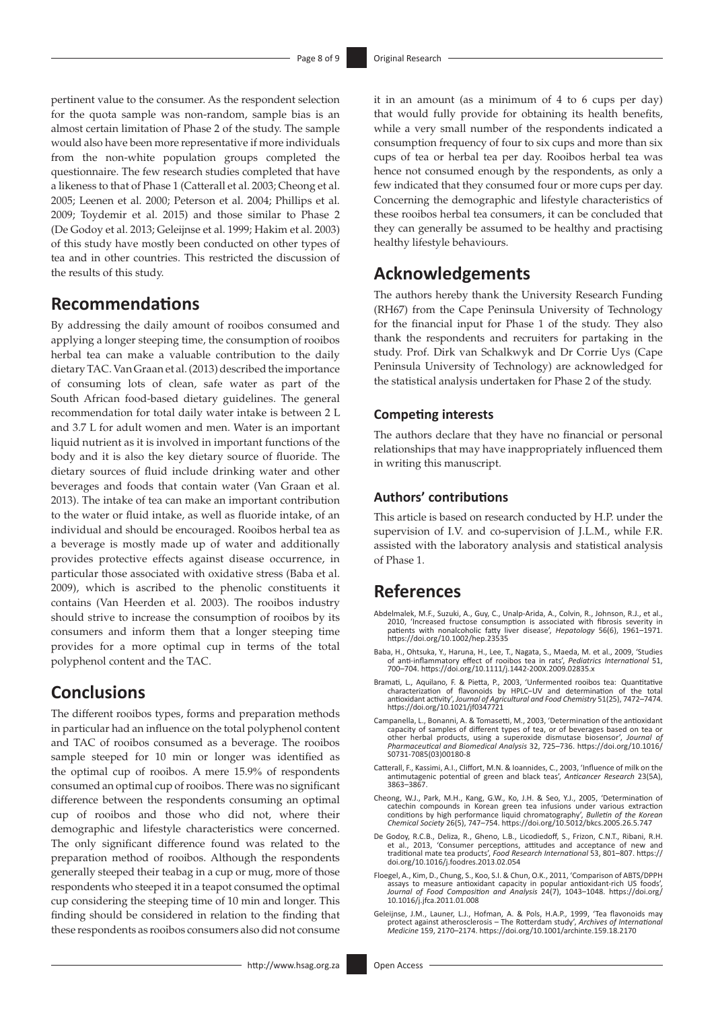pertinent value to the consumer. As the respondent selection for the quota sample was non-random, sample bias is an almost certain limitation of Phase 2 of the study. The sample would also have been more representative if more individuals from the non-white population groups completed the questionnaire. The few research studies completed that have a likeness to that of Phase 1 (Catterall et al. 2003; Cheong et al. 2005; Leenen et al. 2000; Peterson et al. 2004; Phillips et al. 2009; Toydemir et al. 2015) and those similar to Phase 2 (De Godoy et al. 2013; Geleijnse et al. 1999; Hakim et al. 2003) of this study have mostly been conducted on other types of tea and in other countries. This restricted the discussion of the results of this study.

# **Recommendations**

By addressing the daily amount of rooibos consumed and applying a longer steeping time, the consumption of rooibos herbal tea can make a valuable contribution to the daily dietary TAC. Van Graan et al. (2013) described the importance of consuming lots of clean, safe water as part of the South African food-based dietary guidelines. The general recommendation for total daily water intake is between 2 L and 3.7 L for adult women and men. Water is an important liquid nutrient as it is involved in important functions of the body and it is also the key dietary source of fluoride. The dietary sources of fluid include drinking water and other beverages and foods that contain water (Van Graan et al. 2013). The intake of tea can make an important contribution to the water or fluid intake, as well as fluoride intake, of an individual and should be encouraged. Rooibos herbal tea as a beverage is mostly made up of water and additionally provides protective effects against disease occurrence, in particular those associated with oxidative stress (Baba et al. 2009), which is ascribed to the phenolic constituents it contains (Van Heerden et al. 2003). The rooibos industry should strive to increase the consumption of rooibos by its consumers and inform them that a longer steeping time provides for a more optimal cup in terms of the total polyphenol content and the TAC.

# **Conclusions**

The different rooibos types, forms and preparation methods in particular had an influence on the total polyphenol content and TAC of rooibos consumed as a beverage. The rooibos sample steeped for 10 min or longer was identified as the optimal cup of rooibos. A mere 15.9% of respondents consumed an optimal cup of rooibos. There was no significant difference between the respondents consuming an optimal cup of rooibos and those who did not, where their demographic and lifestyle characteristics were concerned. The only significant difference found was related to the preparation method of rooibos. Although the respondents generally steeped their teabag in a cup or mug, more of those respondents who steeped it in a teapot consumed the optimal cup considering the steeping time of 10 min and longer. This finding should be considered in relation to the finding that these respondents as rooibos consumers also did not consume

it in an amount (as a minimum of 4 to 6 cups per day) that would fully provide for obtaining its health benefits, while a very small number of the respondents indicated a consumption frequency of four to six cups and more than six cups of tea or herbal tea per day. Rooibos herbal tea was hence not consumed enough by the respondents, as only a few indicated that they consumed four or more cups per day. Concerning the demographic and lifestyle characteristics of these rooibos herbal tea consumers, it can be concluded that they can generally be assumed to be healthy and practising healthy lifestyle behaviours.

# **Acknowledgements**

The authors hereby thank the University Research Funding (RH67) from the Cape Peninsula University of Technology for the financial input for Phase 1 of the study. They also thank the respondents and recruiters for partaking in the study. Prof. Dirk van Schalkwyk and Dr Corrie Uys (Cape Peninsula University of Technology) are acknowledged for the statistical analysis undertaken for Phase 2 of the study.

### **Competing interests**

The authors declare that they have no financial or personal relationships that may have inappropriately influenced them in writing this manuscript.

## **Authors' contributions**

This article is based on research conducted by H.P. under the supervision of I.V. and co-supervision of J.L.M., while F.R. assisted with the laboratory analysis and statistical analysis of Phase 1.

# **References**

- Abdelmalek, M.F., Suzuki, A., Guy, C., Unalp-Arida, A., Colvin, R., Johnson, R.J., et al., 2010, 'Increased fructose consumption is associated with fibrosis severity in patients with nonalcoholic fatty liver disease', *Hepatology* 56(6), 1961–1971. <https://doi.org/10.1002/hep.23535>
- Baba, H., Ohtsuka, Y., Haruna, H., Lee, T., Nagata, S., Maeda, M. et al., 2009, 'Studies of anti-inflammatory effect of rooibos tea in rats', *Pediatrics International* 51, 700–704.<https://doi.org/10.1111/j.1442-200X.2009.02835.x>
- Bramati, L., Aquilano, F. & Pietta, P., 2003, 'Unfermented rooibos tea: Quantitative characterization of flavonoids by HPLC-UV and determination of the total antioxidant activity', Journal of Agricultural and Food Chemistr
- Campanella, L., Bonanni, A. & Tomasetti, M., 2003, 'Determination of the antioxidant capacity of samples of different types of tea, or of beverages based on tea or other herbal products, using a superoxide dismutase biosensor', *Journal of Pharmaceutical and Biomedical Analysis* 32, 725–736. [https://doi.org/10.1016/](https://doi.org/10.1016/S0731-7085(03)00180-8) [S0731-7085\(03\)00180-8](https://doi.org/10.1016/S0731-7085(03)00180-8)
- Catterall, F., Kassimi, A.I., Cliffort, M.N. & Ioannides, C., 2003, 'Influence of milk on the antimutagenic potential of green and black teas', *Anticancer Research* 23(5A), 3863–3867.
- Cheong, W.J., Park, M.H., Kang, G.W., Ko, J.H. & Seo, Y.J., 2005, 'Determination of catechin compounds in Korean green tea infusions under various extraction conditions by high performance liquid chromatography', Bulletin
- De Godoy, R.C.B., Deliza, R., Gheno, L.B., Licodiedoff, S., Frizon, C.N.T., Ribani, R.H.<br>et al., 2013, 'Consumer perceptions, attitudes and acceptance of new and<br>traditional mate tea products', Food Research International
- Floegel, A., Kim, D., Chung, S., Koo, S.I. & Chun, O.K., 2011, 'Comparison of ABTS/DPPH assays to measure antioxidant capacity in popular antioxidant-rich US foods',<br>*Journal of Food Composition and Analysis* 24(7), 1043–1048. [https://doi.org/](https://doi.org/10.1016/j.jfca.2011.01.008)<br>[10.1016/j.jfca.2011.01.008](https://doi.org/10.1016/j.jfca.2011.01.008)
- Geleijnse, J.M., Launer, L.J., Hofman, A. & Pols, H.A.P., 1999, 'Tea flavonoids may<br>protect against atherosclerosis The Rotterdam study', Archives of International<br>Medicine 159, 2170–2174. https://doi.org/10.1001/archint